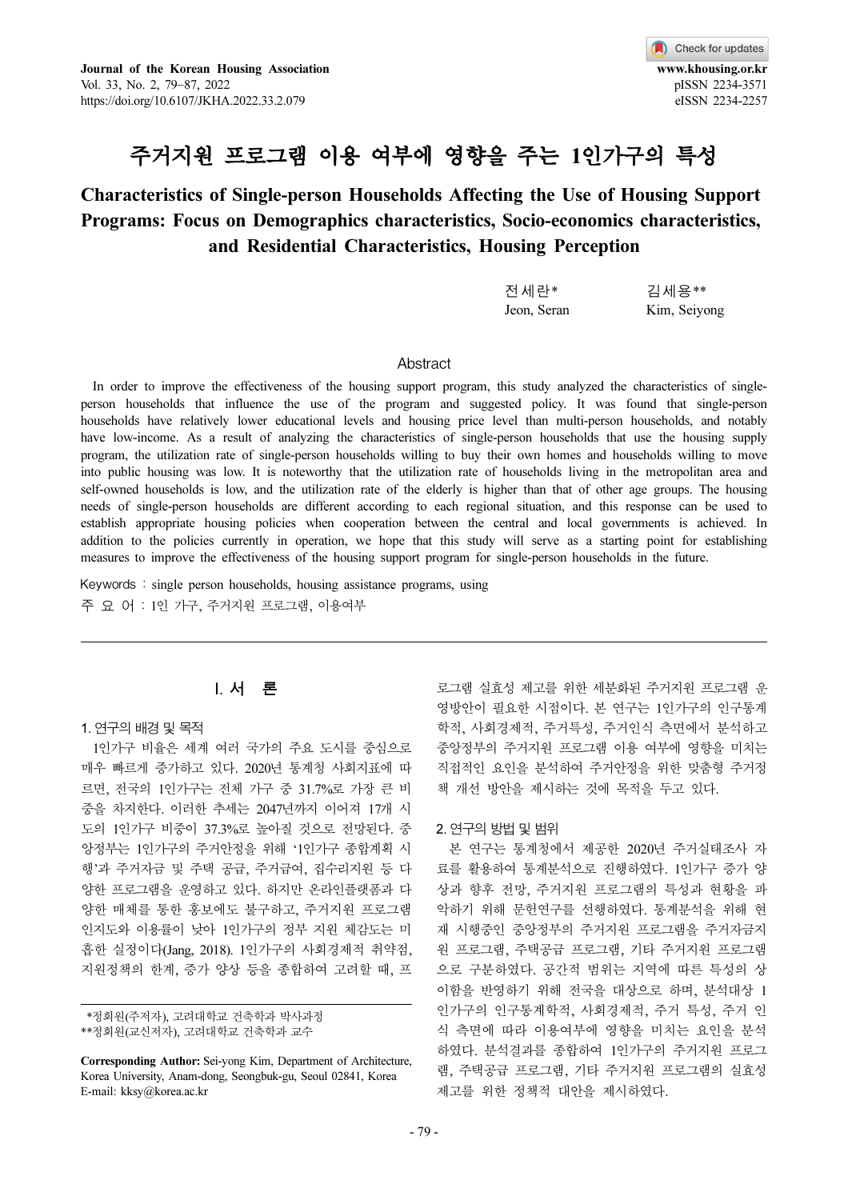

# 주거지원 프로그램 이용 여부에 영향을 주는 1인가구의 특성

# Characteristics of Single-person Households Affecting the Use of Housing Support Programs: Focus on Demographics characteristics, Socio-economics characteristics, and Residential Characteristics, Housing Perception

| 전세란*        | 김세용**        |
|-------------|--------------|
| Jeon, Seran | Kim, Seiyong |

#### Abstract

In order to improve the effectiveness of the housing support program, this study analyzed the characteristics of singleperson households that influence the use of the program and suggested policy. It was found that single-person households have relatively lower educational levels and housing price level than multi-person households, and notably have low-income. As a result of analyzing the characteristics of single-person households that use the housing supply program, the utilization rate of single-person households willing to buy their own homes and households willing to move into public housing was low. It is noteworthy that the utilization rate of households living in the metropolitan area and self-owned households is low, and the utilization rate of the elderly is higher than that of other age groups. The housing needs of single-person households are different according to each regional situation, and this response can be used to establish appropriate housing policies when cooperation between the central and local governments is achieved. In addition to the policies currently in operation, we hope that this study will serve as a starting point for establishing measures to improve the effectiveness of the housing support program for single-person households in the future.

Keywords : single person households, housing assistance programs, using 주요어: 1인 가구, 주거지원 프로그램, 이용여부

### I. 서 론

#### 1. 연구의 배경 및 목적

1인가구 비율은 세계 여러 국가의 주요 도시를 중심으로 매우 빠르게 증가하고 있다. 2020년 통계청 사회지표에 따 르면, 전국의 1인가구는 전체 가구 중 31.7%로 가장 큰 비 중을 차지한다. 이러한 추세는 2047년까지 이어져 17개 시 도의 1인가구 비중이 37.3%로 높아질 것으로 전망된다. 중 앙정부는 1인가구의 주거안정을 위해 '1인가구 종합계획 시 행'과 주거자금 및 주택 공급, 주거급여, 집수리지원 등 다 양한 프로그램을 운영하고 있다. 하지만 온라인플랫폼과 다 양한 매체를 통한 홍보에도 불구하고, 주거지원 프로그램 인지도와 이용률이 낮아 1인가구의 정부 지원 체감도는 미 흡한 실정이다(Jang, 2018). 1인가구의 사회경제적 취약점, 지원정책의 한계, 증가 양상 등을 종합하여 고려할 때, 프

로그램 실효성 제고를 위한 세분화된 주거지원 프로그램 운 영방안이 필요한 시점이다. 본 연구는 1인가구의 인구통계 학적, 사회경제적, 주거특성, 주거인식 측면에서 분석하고 중앙정부의 주거지원 프로그램 이용 여부에 영향을 미치는 직접적인 요인을 분석하여 주거안정을 위한 맞춤형 주거정 책 개선 방안을 제시하는 것에 목적을 두고 있다.

#### 2. 연구의 방법 및 범위

본 연구는 통계청에서 제공한 2020년 주거실태조사 자 료를 활용하여 통계분석으로 진행하였다. 1인가구 증가 양 상과 향후 전망, 주거지원 프로그램의 특성과 현황을 파 악하기 위해 문헌연구를 선행하였다. 통계분석을 위해 현 재 시행중인 중앙정부의 주거지원 프로그램을 주거자금지 원 프로그램, 주택공급 프로그램, 기타 주거지원 프로그램 으로 구분하였다. 공간적 범위는 지역에 따른 특성의 상 이함을 반영하기 위해 전국을 대상으로 하며, 분석대상 1 인가구의 인구통계학적, 사회경제적, 주거 특성, 주거 인 식 측면에 따라 이용여부에 영향을 미치는 요인을 분석 하였다. 분석결과를 종합하여 1인가구의 주거지원 프로그 램, 주택공급 프로그램, 기타 주거지원 프로그램의 실효성 제고를 위한 정책적 대안을 제시하였다.

<sup>\*\*</sup>정회원(주저자), 고려대학교 건축학과 박사과정

<sup>\*\*</sup>정회원(교신저자), 고려대학교 건축학과 교수

Corresponding Author: Sei-yong Kim, Department of Architecture, Korea University, Anam-dong, Seongbuk-gu, Seoul 02841, Korea E-mail: kksy@korea.ac.kr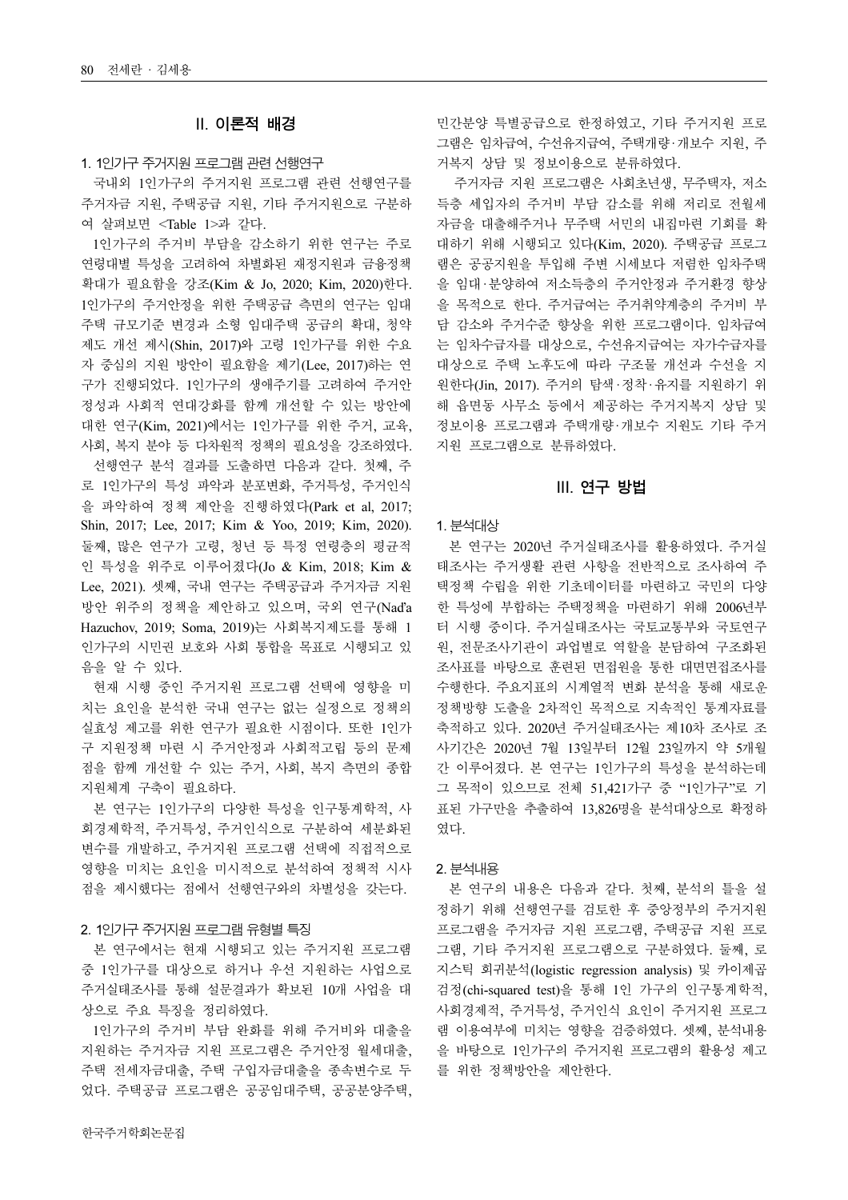# II. 이론적 배경

#### 1. 1인가구 주거지원 프로그램 관련 선행연구

국내외 1인가구의 주거지원 프로그램 관련 선행연구를 주거자금 지원, 주택공급 지원, 기타 주거지원으로 구분하 여 살펴보면 <Table 1>과 같다.

1인가구의 주거비 부담을 감소하기 위한 연구는 주로 연령대별 특성을 고려하여 차별화된 재정지원과 금융정책 확대가 필요함을 강조(Kim & Jo, 2020; Kim, 2020)한다. 1인가구의 주거안정을 위한 주택공급 측면의 연구는 임대 주택 규모기준 변경과 소형 임대주택 공급의 확대, 청약 제도 개선 제시(Shin, 2017)와 고령 1인가구를 위한 수요 자 중심의 지원 방안이 필요함을 제기(Lee, 2017)하는 연 구가 진행되었다. 1인가구의 생애주기를 고려하여 주거안 정성과 사회적 연대강화를 함께 개선할 수 있는 방안에 대한 연구(Kim, 2021)에서는 1인가구를 위한 주거, 교육, 사회, 복지 분야 등 다차원적 정책의 필요성을 강조하였다.

선행연구 분석 결과를 도출하면 다음과 같다. 첫째, 주 로 1인가구의 특성 파악과 분포변화, 주거특성, 주거인식 을 파악하여 정책 제안을 진행하였다(Park et al, 2017; Shin, 2017; Lee, 2017; Kim & Yoo, 2019; Kim, 2020). 둘째, 많은 연구가 고령, 청년 등 특정 연령층의 평균적 인 특성을 위주로 이루어졌다(Jo & Kim, 2018; Kim & Lee, 2021). 셋째, 국내 연구는 주택공급과 주거자금 지원 방안 위주의 정책을 제안하고 있으며, 국외 연구(Naďa Hazuchov, 2019; Soma, 2019)는 사회복지제도를 통해 1 인가구의 시민권 보호와 사회 통합을 목표로 시행되고 있 음을 알 수 있다.

현재 시행 중인 주거지원 프로그램 선택에 영향을 미 치는 요인을 분석한 국내 연구는 없는 실정으로 정책의 실효성 제고를 위한 연구가 필요한 시점이다. 또한 1인가 구 지원정책 마련 시 주거안정과 사회적고립 등의 문제 점을 함께 개선할 수 있는 주거, 사회, 복지 측면의 종합 지원체계 구축이 필요하다.

본 연구는 1인가구의 다양한 특성을 인구통계학적, 사 회경제학적, 주거특성, 주거인식으로 구분하여 세분화된 변수를 개발하고, 주거지원 프로그램 선택에 직접적으로 영향을 미치는 요인을 미시적으로 분석하여 정책적 시사 점을 제시했다는 점에서 선행연구와의 차별성을 갖는다.

#### 2. 1인가구 주거지원 프로그램 유형별 특징

본 연구에서는 현재 시행되고 있는 주거지원 프로그램 중 1인가구를 대상으로 하거나 우선 지원하는 사업으로 주거실태조사를 통해 설문결과가 확보된 10개 사업을 대 상으로 주요 특징을 정리하였다.

1인가구의 주거비 부담 완화를 위해 주거비와 대출을 지원하는 주거자금 지원 프로그램은 주거안정 월세대출, 주택 전세자금대출, 주택 구입자금대출을 종속변수로 두 었다. 주택공급 프로그램은 공공임대주택, 공공분양주택, 민간분양 특별공급으로 한정하였고, 기타 주거지원 프로 그램은 임차급여, 수선유지급여, 주택개량·개보수 지원, 주 거복지 상담 및 정보이용으로 분류하였다.

주거자금 지원 프로그램은 사회초년생, 무주택자, 저소 득층 세입자의 주거비 부담 감소를 위해 저리로 전월세 자금을 대출해주거나 무주택 서민의 내집마련 기회를 확 대하기 위해 시행되고 있다(Kim, 2020). 주택공급 프로그 램은 공공지원을 투입해 주변 시세보다 저렴한 임차주택 을 임대·분양하여 저소득층의 주거안정과 주거환경 향상 을 목적으로 한다. 주거급여는 주거취약계층의 주거비 부 담 감소와 주거수준 향상을 위한 프로그램이다. 임차급여 는 임차수급자를 대상으로, 수선유지급여는 자가수급자를 대상으로 주택 노후도에 따라 구조물 개선과 수선을 지 원한다(Jin, 2017). 주거의 탐색·정착·유지를 지원하기 위 해 읍면동 사무소 등에서 제공하는 주거지복지 상담 및 정보이용 프로그램과 주택개량·개보수 지원도 기타 주거 지원 프로그램으로 분류하였다.

#### III. 연구 방법

#### 1. 분석대상

본 연구는 2020년 주거실태조사를 활용하였다. 주거실 태조사는 주거생활 관련 사항을 전반적으로 조사하여 주 택정책 수립을 위한 기초데이터를 마련하고 국민의 다양 한 특성에 부합하는 주택정책을 마련하기 위해 2006년부 터 시행 중이다. 주거실태조사는 국토교통부와 국토연구 원, 전문조사기관이 과업별로 역할을 분담하여 구조화된 조사표를 바탕으로 훈련된 면접원을 통한 대면면접조사를 수행한다. 주요지표의 시계열적 변화 분석을 통해 새로운 정책방향 도출을 2차적인 목적으로 지속적인 통계자료를 축적하고 있다. 2020년 주거실태조사는 제10차 조사로 조 사기간은 2020년 7월 13일부터 12월 23일까지 약 5개월 간 이루어졌다. 본 연구는 1인가구의 특성을 분석하는데 그 목적이 있으므로 전체 51,421가구 중 "1인가구"로 기 표된 가구만을 추출하여 13,826명을 분석대상으로 확정하 였다.

#### 2. 분석내용

본 연구의 내용은 다음과 같다. 첫째, 분석의 틀을 설 정하기 위해 선행연구를 검토한 후 중앙정부의 주거지원 프로그램을 주거자금 지원 프로그램, 주택공급 지원 프로 그램, 기타 주거지원 프로그램으로 구분하였다. 둘째, 로 지스틱 회귀분석(logistic regression analysis) 및 카이제곱 검정(chi-squared test)을 통해 1인 가구의 인구통계학적, 사회경제적, 주거특성, 주거인식 요인이 주거지원 프로그 램 이용여부에 미치는 영향을 검증하였다. 셋째, 분석내용 을 바탕으로 1인가구의 주거지원 프로그램의 활용성 제고 를 위한 정책방안을 제안한다.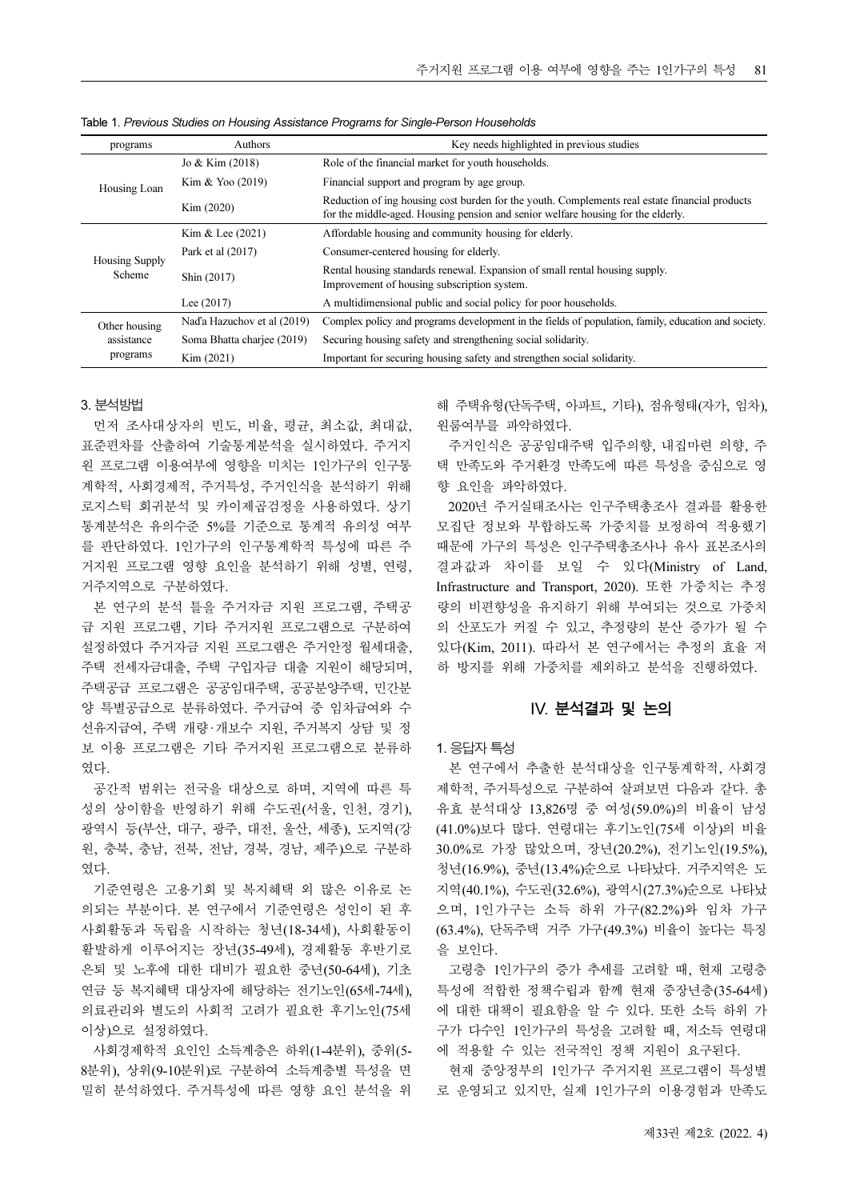| <b>Authors</b>              | Key needs highlighted in previous studies                                                                                                                                          |
|-----------------------------|------------------------------------------------------------------------------------------------------------------------------------------------------------------------------------|
| Jo & Kim (2018)             | Role of the financial market for youth households.                                                                                                                                 |
| Kim & Yoo $(2019)$          | Financial support and program by age group.                                                                                                                                        |
| Kim (2020)                  | Reduction of ing housing cost burden for the youth. Complements real estate financial products<br>for the middle-aged. Housing pension and senior welfare housing for the elderly. |
| Kim & Lee $(2021)$          | Affordable housing and community housing for elderly.                                                                                                                              |
| Park et al (2017)           | Consumer-centered housing for elderly.                                                                                                                                             |
| Shin (2017)                 | Rental housing standards renewal. Expansion of small rental housing supply.<br>Improvement of housing subscription system.                                                         |
| Lee $(2017)$                | A multidimensional public and social policy for poor households.                                                                                                                   |
| Nad'a Hazuchov et al (2019) | Complex policy and programs development in the fields of population, family, education and society.                                                                                |
| Soma Bhatta chariee (2019)  | Securing housing safety and strengthening social solidarity.                                                                                                                       |
| Kim (2021)                  | Important for securing housing safety and strengthen social solidarity.                                                                                                            |
|                             |                                                                                                                                                                                    |

Table 1. Previous Studies on Housing Assistance Programs for Single-Person Households

#### 3. 분석방법

먼저 조사대상자의 빈도, 비율, 평균, 최소값, 최대값, 표준편차를 산출하여 기술통계분석을 실시하였다. 주거지 원 프로그램 이용여부에 영향을 미치는 1인가구의 인구통 계학적, 사회경제적, 주거특성, 주거인식을 분석하기 위해 로지스틱 회귀분석 및 카이제곱검정을 사용하였다. 상기 통계분석은 유의수준 5%를 기준으로 통계적 유의성 여부 를 판단하였다. 1인가구의 인구통계학적 특성에 따른 주 거지원 프로그램 영향 요인을 분석하기 위해 성별, 연령, 거주지역으로 구분하였다.

본 연구의 분석 틀을 주거자금 지원 프로그램, 주택공 급 지원 프로그램, 기타 주거지원 프로그램으로 구분하여 설정하였다 주거자금 지원 프로그램은 주거안정 월세대출, 주택 전세자금대출, 주택 구입자금 대출 지원이 해당되며, 주택공급 프로그램은 공공임대주택, 공공분양주택, 민간분 양 특별공급으로 분류하였다. 주거급여 중 임차급여와 수 선유지급여, 주택 개량·개보수 지원, 주거복지 상담 및 정 보 이용 프로그램은 기타 주거지원 프로그램으로 분류하 였다.

공간적 범위는 전국을 대상으로 하며, 지역에 따른 특 성의 상이함을 반영하기 위해 수도권(서울, 인천, 경기), 광역시 등(부산, 대구, 광주, 대전, 울산, 세종), 도지역(강 원, 충북, 충남, 전북, 전남, 경북, 경남, 제주)으로 구분하 였다.

기준연령은 고용기회 및 복지혜택 외 많은 이유로 논 의되는 부분이다. 본 연구에서 기준연령은 성인이 된 후 사회활동과 독립을 시작하는 청년(18-34세), 사회활동이 활발하게 이루어지는 장년(35-49세), 경제활동 후반기로 은퇴 및 노후에 대한 대비가 필요한 중년(50-64세), 기초 연금 등 복지혜택 대상자에 해당하는 전기노인(65세-74세), 의료관리와 별도의 사회적 고려가 필요한 후기노인(75세 이상)으로 설정하였다.

사회경제학적 요인인 소득계층은 하위(1-4분위), 중위(5- 8분위), 상위(9-10분위)로 구분하여 소득계층별 특성을 면 밀히 분석하였다. 주거특성에 따른 영향 요인 분석을 위 해 주택유형(단독주택, 아파트, 기타), 점유형태(자가, 임차), 원룸여부를 파악하였다.

주거인식은 공공임대주택 입주의향, 내집마련 의향, 주 택 만족도와 주거환경 만족도에 따른 특성을 중심으로 영 향 요인을 파악하였다.

2020년 주거실태조사는 인구주택총조사 결과를 활용한 모집단 정보와 부합하도록 가중치를 보정하여 적용했기 때문에 가구의 특성은 인구주택총조사나 유사 표본조사의 결과값과 차이를 보일 수 있다(Ministry of Land, Infrastructure and Transport, 2020). 또한 가중치는 추정 량의 비편향성을 유지하기 위해 부여되는 것으로 가중치 의 산포도가 커질 수 있고, 추정량의 분산 증가가 될 수 있다(Kim, 2011). 따라서 본 연구에서는 추정의 효율 저 하 방지를 위해 가중치를 제외하고 분석을 진행하였다.

## IV. 분석결과 및 논의

#### 1. 응답자 특성

본 연구에서 추출한 분석대상을 인구통계학적, 사회경 제학적, 주거특성으로 구분하여 살펴보면 다음과 같다. 총 유효 분석대상 13,826명 중 여성(59.0%)의 비율이 남성 (41.0%)보다 많다. 연령대는 후기노인(75세 이상)의 비율 30.0%로 가장 많았으며, 장년(20.2%), 전기노인(19.5%), 청년(16.9%), 중년(13.4%)순으로 나타났다. 거주지역은 도 지역(40.1%), 수도권(32.6%), 광역시(27.3%)순으로 나타났 으며, 1인가구는 소득 하위 가구(82.2%)와 임차 가구 (63.4%), 단독주택 거주 가구(49.3%) 비율이 높다는 특징 을 보인다.

고령층 1인가구의 증가 추세를 고려할 때, 현재 고령층 특성에 적합한 정책수립과 함께 현재 중장년층(35-64세) 에 대한 대책이 필요함을 알 수 있다. 또한 소득 하위 가 구가 다수인 1인가구의 특성을 고려할 때, 저소득 연령대 에 적용할 수 있는 전국적인 정책 지원이 요구된다.

현재 중앙정부의 1인가구 주거지원 프로그램이 특성별 로 운영되고 있지만, 실제 1인가구의 이용경험과 만족도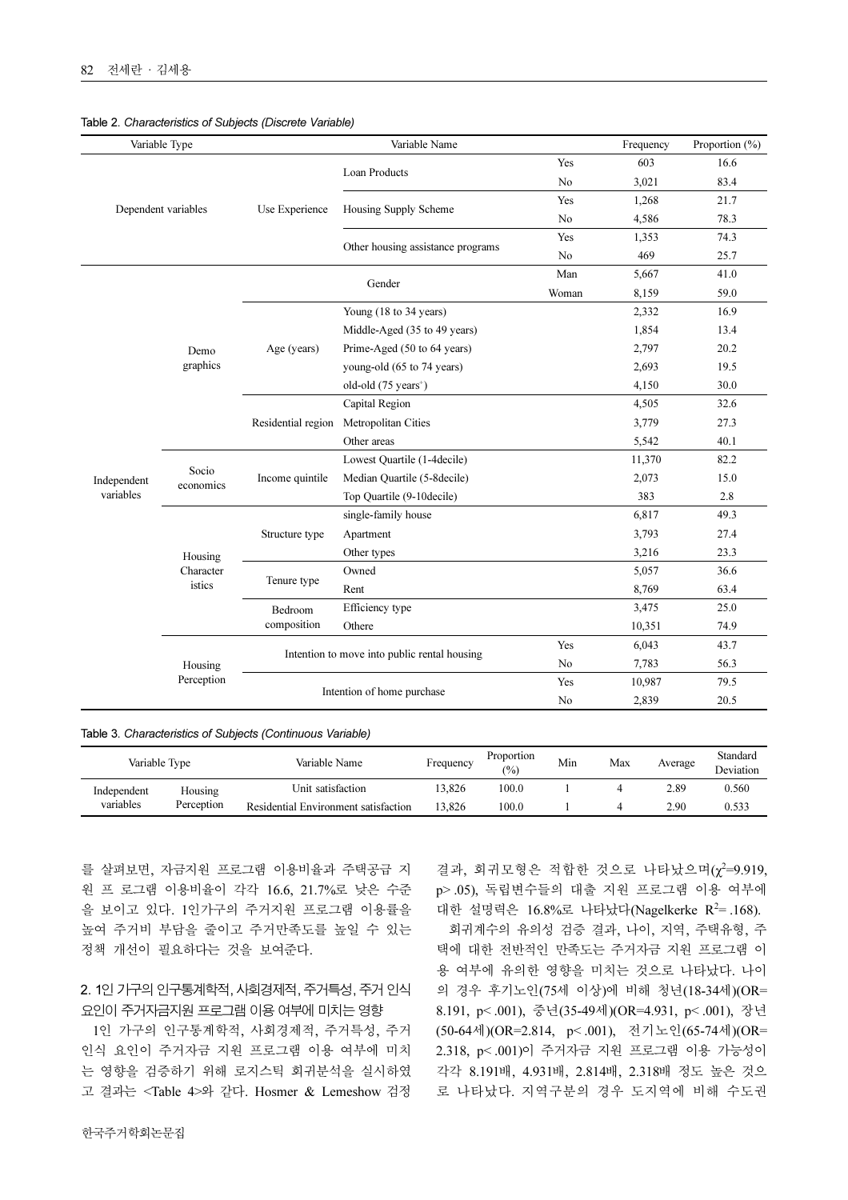|             | Variable Type       |                                                                                                                                                                                                                                                                                                                                                     | Variable Name                                |       | Frequency | Proportion $(\% )$ |
|-------------|---------------------|-----------------------------------------------------------------------------------------------------------------------------------------------------------------------------------------------------------------------------------------------------------------------------------------------------------------------------------------------------|----------------------------------------------|-------|-----------|--------------------|
|             |                     |                                                                                                                                                                                                                                                                                                                                                     |                                              | Yes   | 603       | 16.6               |
|             |                     | Loan Products<br>Use Experience<br>Housing Supply Scheme<br>Gender<br>Age (years)<br>Demo<br>graphics<br>Capital Region<br>Residential region<br>Other areas<br>Socio<br>Income quintile<br>economics<br>Structure type<br>Apartment<br>Other types<br>Housing<br>Character<br>Owned<br>Tenure type<br>istics<br>Rent<br>Efficiency type<br>Bedroom |                                              | No    | 3,021     | 83.4               |
|             | Dependent variables |                                                                                                                                                                                                                                                                                                                                                     |                                              | Yes   | 1,268     | 21.7               |
|             |                     |                                                                                                                                                                                                                                                                                                                                                     |                                              | No    | 4,586     | 78.3               |
|             |                     |                                                                                                                                                                                                                                                                                                                                                     |                                              | Yes   | 1,353     | 74.3               |
|             |                     |                                                                                                                                                                                                                                                                                                                                                     | Other housing assistance programs            | No    | 469       | 25.7               |
|             |                     |                                                                                                                                                                                                                                                                                                                                                     |                                              | Man   | 5,667     | 41.0               |
|             |                     |                                                                                                                                                                                                                                                                                                                                                     |                                              | Woman | 8,159     | 59.0               |
|             |                     |                                                                                                                                                                                                                                                                                                                                                     | Young (18 to 34 years)                       |       | 2,332     | 16.9               |
|             |                     |                                                                                                                                                                                                                                                                                                                                                     | Middle-Aged (35 to 49 years)                 |       | 1,854     | 13.4               |
|             |                     |                                                                                                                                                                                                                                                                                                                                                     | Prime-Aged (50 to 64 years)                  |       | 2,797     | 20.2               |
|             |                     |                                                                                                                                                                                                                                                                                                                                                     | young-old (65 to 74 years)                   |       | 2,693     | 19.5               |
|             |                     |                                                                                                                                                                                                                                                                                                                                                     | old-old $(75 \text{ years}^+)$               |       | 4,150     | 30.0               |
|             |                     |                                                                                                                                                                                                                                                                                                                                                     |                                              |       | 4,505     | 32.6               |
|             |                     | Metropolitan Cities                                                                                                                                                                                                                                                                                                                                 |                                              | 3,779 | 27.3      |                    |
|             |                     |                                                                                                                                                                                                                                                                                                                                                     |                                              |       | 5,542     | 40.1               |
|             |                     |                                                                                                                                                                                                                                                                                                                                                     | Lowest Quartile (1-4decile)                  |       | 11,370    | 82.2               |
| Independent |                     |                                                                                                                                                                                                                                                                                                                                                     | Median Quartile (5-8decile)                  |       | 2,073     | 15.0               |
| variables   |                     |                                                                                                                                                                                                                                                                                                                                                     | Top Quartile (9-10decile)                    |       | 383       | 2.8                |
|             |                     |                                                                                                                                                                                                                                                                                                                                                     | single-family house                          |       | 6,817     | 49.3               |
|             |                     |                                                                                                                                                                                                                                                                                                                                                     |                                              |       | 3,793     | 27.4               |
|             |                     |                                                                                                                                                                                                                                                                                                                                                     |                                              |       | 3,216     | 23.3               |
|             |                     |                                                                                                                                                                                                                                                                                                                                                     |                                              |       | 5,057     | 36.6               |
|             |                     |                                                                                                                                                                                                                                                                                                                                                     |                                              |       | 8,769     | 63.4               |
|             |                     |                                                                                                                                                                                                                                                                                                                                                     |                                              |       | 3,475     | 25.0               |
|             |                     | composition                                                                                                                                                                                                                                                                                                                                         | Othere                                       |       | 10,351    | 74.9               |
|             |                     |                                                                                                                                                                                                                                                                                                                                                     |                                              | Yes   | 6,043     | 43.7               |
|             | Housing             |                                                                                                                                                                                                                                                                                                                                                     | Intention to move into public rental housing | No    | 7,783     | 56.3               |
|             | Perception          |                                                                                                                                                                                                                                                                                                                                                     |                                              | Yes   | 10,987    | 79.5               |
|             |                     |                                                                                                                                                                                                                                                                                                                                                     | Intention of home purchase                   |       | 2,839     | 20.5               |

#### Table 2. Characteristics of Subjects (Discrete Variable)

Table 3. Characteristics of Subjects (Continuous Variable)

| Variable Type |            | Variable Name                        | Frequency | Proportion<br>$(% ^{6}$ | Min | Max | Average | Standard<br>Deviation |
|---------------|------------|--------------------------------------|-----------|-------------------------|-----|-----|---------|-----------------------|
| Independent   | Housing    | Unit satisfaction                    | 13.826    | 100.0                   |     |     | 2.89    | 0.560                 |
| variables     | Perception | Residential Environment satisfaction | 13.826    | 100.0                   |     |     | 2.90    | 0.533                 |

를 살펴보면, 자금지원 프로그램 이용비율과 주택공급 지 원 프 로그램 이용비율이 각각 16.6, 21.7%로 낮은 수준 을 보이고 있다. 1인가구의 주거지원 프로그램 이용률을 높여 주거비 부담을 줄이고 주거만족도를 높일 수 있는 정책 개선이 필요하다는 것을 보여준다.

# 2. 1인 가구의 인구통계학적, 사회경제적, 주거특성, 주거 인식 요인이 주거자금지원 프로그램 이용 여부에 미치는 영향

1인 가구의 인구통계학적, 사회경제적, 주거특성, 주거 인식 요인이 주거자금 지원 프로그램 이용 여부에 미치 는 영향을 검증하기 위해 로지스틱 회귀분석을 실시하였 고 결과는 <Table 4>와 같다. Hosmer & Lemeshow 검정

결과, 회귀모형은 적합한 것으로 나타났으며( $\chi^2=9.919$ , p> .05), 독립변수들의 대출 지원 프로그램 이용 여부에 대한 설명력은 16.8%로 나타났다(Nagelkerke R<sup>2</sup>=.168).

회귀계수의 유의성 검증 결과, 나이, 지역, 주택유형, 주 택에 대한 전반적인 만족도는 주거자금 지원 프로그램 이 용 여부에 유의한 영향을 미치는 것으로 나타났다. 나이 의 경우 후기노인(75세 이상)에 비해 청년(18-34세)(OR= 8.191, p< .001), 중년(35-49세)(OR=4.931, p< .001), 장년 (50-64세)(OR=2.814, p< .001), 전기노인(65-74세)(OR= 2.318, p< .001)이 주거자금 지원 프로그램 이용 가능성이 각각 8.191배, 4.931배, 2.814배, 2.318배 정도 높은 것으 로 나타났다. 지역구분의 경우 도지역에 비해 수도권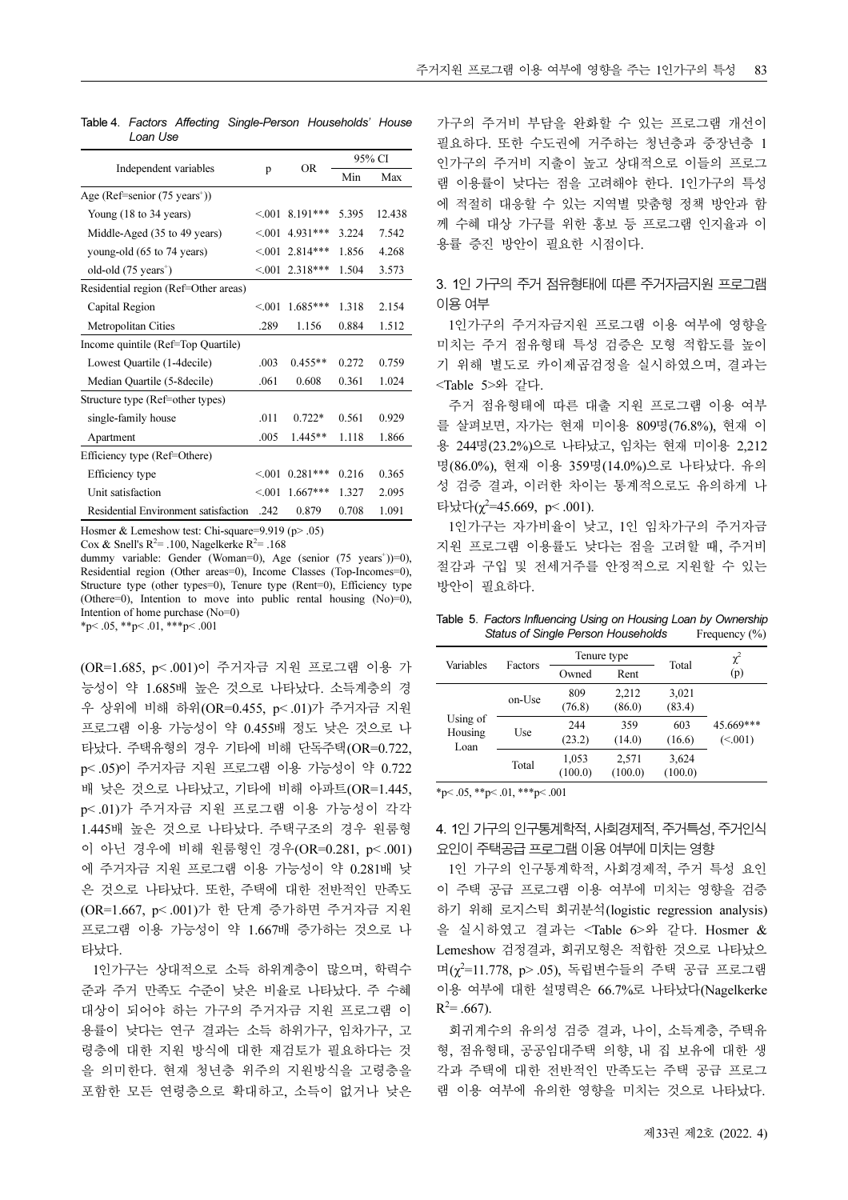|                                          |        |            | 95% CI |        |  |
|------------------------------------------|--------|------------|--------|--------|--|
| Independent variables                    | p      | OR.        | Min    | Max    |  |
| Age (Ref=senior $(75 \text{ years}^+)$ ) |        |            |        |        |  |
| Young (18 to 34 years)                   | < 0.01 | $8.191***$ | 5.395  | 12.438 |  |
| Middle-Aged (35 to 49 years)             | < 001  | 4.931***   | 3.224  | 7.542  |  |
| young-old (65 to 74 years)               | < 001  | $2.814***$ | 1.856  | 4.268  |  |
| old-old $(75 \text{ years}^+)$           | < 001  | 2.318***   | 1.504  | 3.573  |  |
| Residential region (Ref=Other areas)     |        |            |        |        |  |
| Capital Region                           | < 0.01 | $1.685***$ | 1.318  | 2.154  |  |
| Metropolitan Cities                      | .289   | 1.156      | 0.884  | 1.512  |  |
| Income quintile (Ref=Top Quartile)       |        |            |        |        |  |
| Lowest Quartile (1-4 decile)             | .003   | $0.455**$  | 0.272  | 0.759  |  |
| Median Quartile (5-8 decile)             | .061   | 0.608      | 0.361  | 1.024  |  |
| Structure type (Ref=other types)         |        |            |        |        |  |
| single-family house                      | .011   | $0.722*$   | 0.561  | 0.929  |  |
| Apartment                                | .005   | $1.445**$  | 1.118  | 1.866  |  |
| Efficiency type (Ref=Othere)             |        |            |        |        |  |
| Efficiency type                          | < 0.01 | $0.281***$ | 0.216  | 0.365  |  |
| Unit satisfaction                        | < 0.01 | $1.667***$ | 1.327  | 2.095  |  |
| Residential Environment satisfaction     | .242   | 0.879      | 0.708  | 1.091  |  |

Table 4. Factors Affecting Single-Person Households' House Loan Use

Hosmer & Lemeshow test: Chi-square=9.919 (p> .05)

Cox & Snell's  $R^2$ = .100, Nagelkerke  $R^2$ = .168

dummy variable: Gender (Woman=0), Age (senior (75 years<sup>+</sup>))=0), Residential region (Other areas=0), Income Classes (Top-Incomes=0), Structure type (other types=0), Tenure type (Rent=0), Efficiency type (Othere=0), Intention to move into public rental housing (No)=0), Intention of home purchase (No=0)<br>\*p< .05, \*\*p< .01, \*\*\*p< .001

(OR=1.685, p< .001)이 주거자금 지원 프로그램 이용 가 능성이 약 1.685배 높은 것으로 나타났다. 소득계층의 경 우 상위에 비해 하위(OR=0.455, p< .01)가 주거자금 지원 프로그램 이용 가능성이 약 0.455배 정도 낮은 것으로 나 타났다. 주택유형의 경우 기타에 비해 단독주택(OR=0.722, p< .05)이 주거자금 지원 프로그램 이용 가능성이 약 0.722 배 낮은 것으로 나타났고, 기타에 비해 아파트(OR=1.445, p< .01)가 주거자금 지원 프로그램 이용 가능성이 각각 1.445배 높은 것으로 나타났다. 주택구조의 경우 원룸형 이 아닌 경우에 비해 원룸형인 경우(OR=0.281, p< .001) 에 주거자금 지원 프로그램 이용 가능성이 약 0.281배 낮 은 것으로 나타났다. 또한, 주택에 대한 전반적인 만족도 (OR=1.667, p< .001)가 한 단계 증가하면 주거자금 지원 프로그램 이용 가능성이 약 1.667배 증가하는 것으로 나 타났다.

1인가구는 상대적으로 소득 하위계층이 많으며, 학력수 준과 주거 만족도 수준이 낮은 비율로 나타났다. 주 수혜 대상이 되어야 하는 가구의 주거자금 지원 프로그램 이 용률이 낮다는 연구 결과는 소득 하위가구, 임차가구, 고 령층에 대한 지원 방식에 대한 재검토가 필요하다는 것 을 의미한다. 현재 청년층 위주의 지원방식을 고령층을 포함한 모든 연령층으로 확대하고, 소득이 없거나 낮은 가구의 주거비 부담을 완화할 수 있는 프로그램 개선이 필요하다. 또한 수도권에 거주하는 청년층과 중장년층 1 인가구의 주거비 지출이 높고 상대적으로 이들의 프로그 램 이용률이 낮다는 점을 고려해야 한다. 1인가구의 특성 에 적절히 대응할 수 있는 지역별 맞춤형 정책 방안과 함 께 수혜 대상 가구를 위한 홍보 등 프로그램 인지율과 이 용률 증진 방안이 필요한 시점이다.

# 3. 1인 가구의 주거 점유형태에 따른 주거자금지원 프로그램 이용 여부

1인가구의 주거자금지원 프로그램 이용 여부에 영향을 미치는 주거 점유형태 특성 검증은 모형 적합도를 높이 기 위해 별도로 카이제곱검정을 실시하였으며, 결과는 <Table 5>와 같다.

주거 점유형태에 따른 대출 지원 프로그램 이용 여부 를 살펴보면, 자가는 현재 미이용 809명(76.8%), 현재 이 용 244명(23.2%)으로 나타났고, 임차는 현재 미이용 2,212 명(86.0%), 현재 이용 359명(14.0%)으로 나타났다. 유의 성 검증 결과, 이러한 차이는 통계적으로도 유의하게 나 타났다(χ<sup>2</sup> =45.669, p< .001).

1인가구는 자가비율이 낮고, 1인 임차가구의 주거자금 지원 프로그램 이용률도 낮다는 점을 고려할 때, 주거비 절감과 구입 및 전세거주를 안정적으로 지원할 수 있는 방안이 필요하다.

Table 5. Factors Influencing Using on Housing Loan by Ownership<br>Status of Single Person Households Frequency (%) Status of Single Person Households

| Variables       | Factors | Tenure type |         | Total   | $\chi^2$  |  |
|-----------------|---------|-------------|---------|---------|-----------|--|
|                 |         | Owned       | Rent    |         | (p)       |  |
|                 |         | 809         | 2,212   | 3,021   |           |  |
|                 | on-Use  | (76.8)      | (86.0)  | (83.4)  |           |  |
| Using of        |         | 244         | 359     | 603     | 45.669*** |  |
| Housing<br>Loan | Use     | (23.2)      | (14.0)  | (16.6)  | (<.001)   |  |
|                 | Total   | 1,053       | 2,571   | 3,624   |           |  |
|                 |         | (100.0)     | (100.0) | (100.0) |           |  |

 $*_{p}$  < .05,  $*_{p}$  < .01,  $*_{p}$  < .001

# 4. 1인 가구의 인구통계학적, 사회경제적, 주거특성, 주거인식 요인이 주택공급 프로그램 이용 여부에 미치는 영향

1인 가구의 인구통계학적, 사회경제적, 주거 특성 요인 이 주택 공급 프로그램 이용 여부에 미치는 영향을 검증 하기 위해 로지스틱 회귀분석(logistic regression analysis) 을 실시하였고 결과는 <Table 6>와 같다. Hosmer & Lemeshow 검정결과, 회귀모형은 적합한 것으로 나타났으 며(χ<sup>2</sup> =11.778, p> .05), 독립변수들의 주택 공급 프로그램 이용 여부에 대한 설명력은 66.7%로 나타났다(Nagelkerke  $R^2 = .667$ ).

회귀계수의 유의성 검증 결과, 나이, 소득계층, 주택유 형, 점유형태, 공공임대주택 의향, 내 집 보유에 대한 생 각과 주택에 대한 전반적인 만족도는 주택 공급 프로그 램 이용 여부에 유의한 영향을 미치는 것으로 나타났다.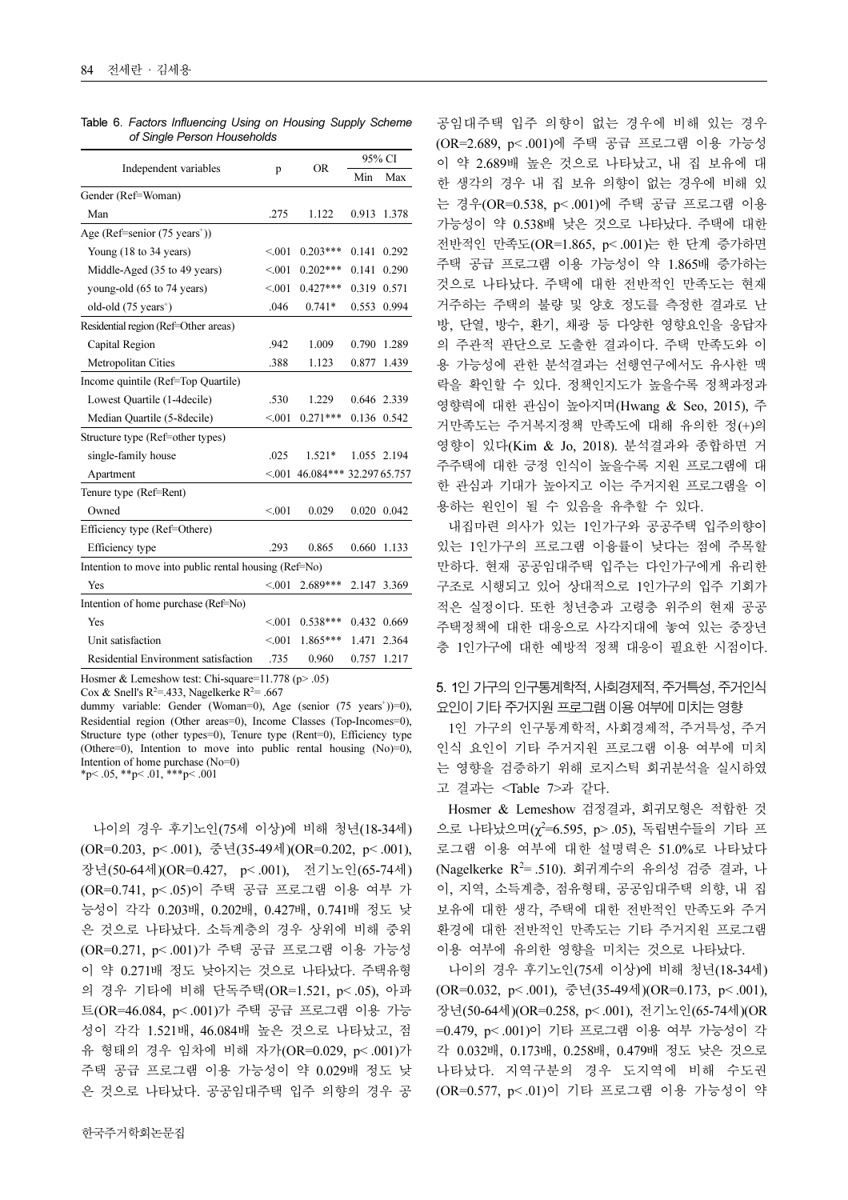|                                                       |         |                         | 95% CI |             |  |  |  |
|-------------------------------------------------------|---------|-------------------------|--------|-------------|--|--|--|
| Independent variables                                 | p       | OR                      | Min    | Max         |  |  |  |
| Gender (Ref=Woman)                                    |         |                         |        |             |  |  |  |
| Man                                                   | .275    | 1.122                   | 0.913  | 1.378       |  |  |  |
| Age (Ref=senior (75 years <sup>+</sup> ))             |         |                         |        |             |  |  |  |
| Young (18 to 34 years)                                | < 001   | $0.203***$              | 0.141  | 0.292       |  |  |  |
| Middle-Aged (35 to 49 years)                          | < 001   | $0.202***$              | 0.141  | 0.290       |  |  |  |
| young-old (65 to 74 years)                            | < 0.01  | $0.427***$              | 0.319  | 0.571       |  |  |  |
| old-old $(75 \text{ years}^+)$                        | .046    | $0.741*$                | 0.553  | 0.994       |  |  |  |
| Residential region (Ref=Other areas)                  |         |                         |        |             |  |  |  |
| Capital Region                                        | .942    | 1.009                   | 0.790  | 1.289       |  |  |  |
| Metropolitan Cities                                   | .388    | 1.123                   | 0.877  | 1.439       |  |  |  |
| Income quintile (Ref=Top Quartile)                    |         |                         |        |             |  |  |  |
| Lowest Quartile (1-4 decile)                          | .530    | 1.229                   |        | 0.646 2.339 |  |  |  |
| Median Quartile (5-8 decile)                          | < 0.01  | $0.271***$              |        | 0.136 0.542 |  |  |  |
| Structure type (Ref=other types)                      |         |                         |        |             |  |  |  |
| single-family house                                   | .025    | 1.521*                  |        | 1.055 2.194 |  |  |  |
| Apartment                                             | < 0.001 | 46.084*** 32.297 65.757 |        |             |  |  |  |
| Tenure type (Ref=Rent)                                |         |                         |        |             |  |  |  |
| Owned                                                 | < 0.01  | 0.029                   | 0.020  | 0.042       |  |  |  |
| Efficiency type (Ref=Othere)                          |         |                         |        |             |  |  |  |
| Efficiency type                                       | .293    | 0.865                   | 0.660  | 1.133       |  |  |  |
| Intention to move into public rental housing (Ref=No) |         |                         |        |             |  |  |  |
| Yes                                                   | < 0.001 | 2.689***                | 2.147  | 3.369       |  |  |  |
| Intention of home purchase (Ref=No)                   |         |                         |        |             |  |  |  |
| Yes                                                   | < 0.01  | $0.538***$              | 0.432  | 0.669       |  |  |  |
| Unit satisfaction                                     | < 0.01  | 1.865***                | 1.471  | 2.364       |  |  |  |
| Residential Environment satisfaction                  | .735    | 0.960                   | 0.757  | 1.217       |  |  |  |

Table 6. Factors Influencing Using on Housing Supply Scheme of Single Person Households

Hosmer & Lemeshow test: Chi-square=11.778 (p> .05)

Cox & Snell's  $R^2 = 0.433$ , Nagelkerke  $R^2 = 0.667$ 

dummy variable: Gender (Woman=0), Age (senior (75 years<sup>+</sup>))=0), Residential region (Other areas=0), Income Classes (Top-Incomes=0), Structure type (other types=0), Tenure type (Rent=0), Efficiency type (Othere=0), Intention to move into public rental housing (No)=0), Intention of home purchase (No=0)  $*p< .05, **p< .01, **p< .001$ 

나이의 경우 후기노인(75세 이상)에 비해 청년(18-34세) (OR=0.203, p< .001), 중년(35-49세)(OR=0.202, p< .001), 장년(50-64세)(OR=0.427, p< .001), 전기노인(65-74세) (OR=0.741, p< .05)이 주택 공급 프로그램 이용 여부 가 능성이 각각 0.203배, 0.202배, 0.427배, 0.741배 정도 낮 은 것으로 나타났다. 소득계층의 경우 상위에 비해 중위 (OR=0.271, p< .001)가 주택 공급 프로그램 이용 가능성 이 약 0.271배 정도 낮아지는 것으로 나타났다. 주택유형 의 경우 기타에 비해 단독주택(OR=1.521, p< .05), 아파 트(OR=46.084, p< .001)가 주택 공급 프로그램 이용 가능 성이 각각 1.521배, 46.084배 높은 것으로 나타났고, 점 유 형태의 경우 임차에 비해 자가(OR=0.029, p< .001)가 주택 공급 프로그램 이용 가능성이 약 0.029배 정도 낮 은 것으로 나타났다. 공공임대주택 입주 의향의 경우 공

공임대주택 입주 의향이 없는 경우에 비해 있는 경우 (OR=2.689, p< .001)에 주택 공급 프로그램 이용 가능성 이 약 2.689배 높은 것으로 나타났고, 내 집 보유에 대 한 생각의 경우 내 집 보유 의향이 없는 경우에 비해 있 는 경우(OR=0.538, p< .001)에 주택 공급 프로그램 이용 가능성이 약 0.538배 낮은 것으로 나타났다. 주택에 대한 전반적인 만족도(OR=1.865, p< .001)는 한 단계 증가하면 주택 공급 프로그램 이용 가능성이 약 1.865배 증가하는 것으로 나타났다. 주택에 대한 전반적인 만족도는 현재 거주하는 주택의 불량 및 양호 정도를 측정한 결과로 난 방, 단열, 방수, 환기, 채광 등 다양한 영향요인을 응답자 의 주관적 판단으로 도출한 결과이다. 주택 만족도와 이 용 가능성에 관한 분석결과는 선행연구에서도 유사한 맥 락을 확인할 수 있다. 정책인지도가 높을수록 정책과정과 영향력에 대한 관심이 높아지며(Hwang & Seo, 2015), 주 거만족도는 주거복지정책 만족도에 대해 유의한 정(+)의 영향이 있다(Kim & Jo, 2018). 분석결과와 종합하면 거 주주택에 대한 긍정 인식이 높을수록 지원 프로그램에 대 한 관심과 기대가 높아지고 이는 주거지원 프로그램을 이 용하는 원인이 될 수 있음을 유추할 수 있다.

내집마련 의사가 있는 1인가구와 공공주택 입주의향이 있는 1인가구의 프로그램 이융률이 낮다는 점에 주목할 만하다. 현재 공공임대주택 입주는 다인가구에게 유리한 구조로 시행되고 있어 상대적으로 1인가구의 입주 기회가 적은 실정이다. 또한 청년층과 고령층 위주의 현재 공공 주택정책에 대한 대응으로 사각지대에 놓여 있는 중장년 층 1인가구에 대한 예방적 정책 대응이 필요한 시점이다.

# 5. 1인 가구의 인구통계학적, 사회경제적, 주거특성, 주거인식 요인이 기타 주거지원 프로그램 이용 여부에 미치는 영향

1인 가구의 인구통계학적, 사회경제적, 주거특성, 주거 인식 요인이 기타 주거지원 프로그램 이용 여부에 미치 는 영향을 검증하기 위해 로지스틱 회귀분석을 실시하였 고 결과는 <Table 7>과 같다.

Hosmer & Lemeshow 검정결과, 회귀모형은 적합한 것 으로 나타났으며  $(\chi^2=6.595, p>0.05)$ , 독립변수들의 기타 프 로그램 이용 여부에 대한 설명력은 51.0%로 나타났다 (Nagelkerke R<sup>2</sup>= .510). 회귀계수의 유의성 검증 결과, 나 이, 지역, 소득계층, 점유형태, 공공임대주택 의향, 내 집 보유에 대한 생각, 주택에 대한 전반적인 만족도와 주거 환경에 대한 전반적인 만족도는 기타 주거지원 프로그램 이용 여부에 유의한 영향을 미치는 것으로 나타났다.

나이의 경우 후기노인(75세 이상)에 비해 청년(18-34세) (OR=0.032, p< .001), 중년(35-49세)(OR=0.173, p< .001), 장년(50-64세)(OR=0.258, p< .001), 전기노인(65-74세)(OR =0.479, p< .001)이 기타 프로그램 이용 여부 가능성이 각 각 0.032배, 0.173배, 0.258배, 0.479배 정도 낮은 것으로 나타났다. 지역구분의 경우 도지역에 비해 수도권 (OR=0.577, p< .01)이 기타 프로그램 이용 가능성이 약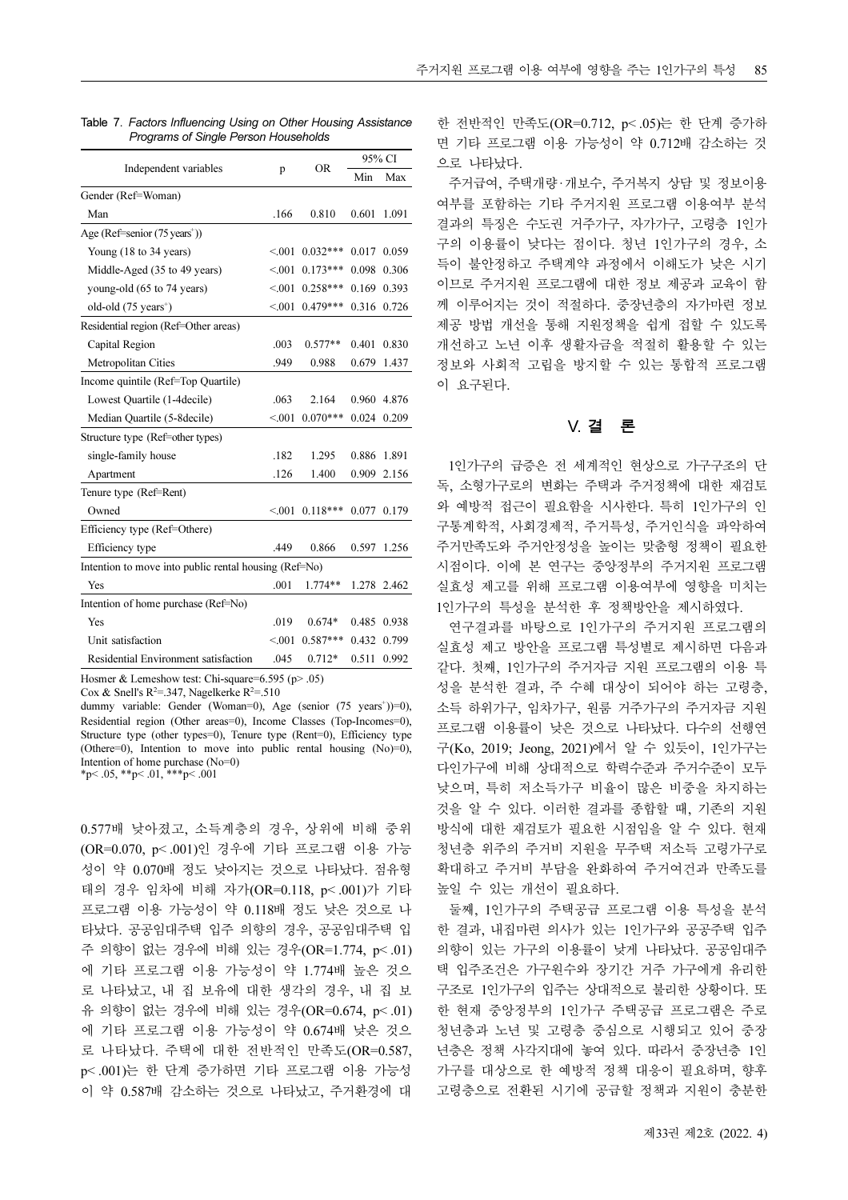|                                                       |             | <b>OR</b>  | 95% CI |       |  |  |
|-------------------------------------------------------|-------------|------------|--------|-------|--|--|
| Independent variables                                 | p           |            | Min    | Max   |  |  |
| Gender (Ref=Woman)                                    |             |            |        |       |  |  |
| Man                                                   | .166        | 0.810      | 0.601  | 1.091 |  |  |
| Age (Ref=senior $(75 \text{ years}^+)$ )              |             |            |        |       |  |  |
| Young (18 to 34 years)                                | < 001       | $0.032***$ | 0.017  | 0.059 |  |  |
| Middle-Aged (35 to 49 years)                          | < 0.01      | $0.173***$ | 0.098  | 0.306 |  |  |
| young-old (65 to 74 years)                            | < 0.01      | $0.258***$ | 0.169  | 0.393 |  |  |
| old-old $(75 \text{ years}^+)$                        | < 001       | $0.479***$ | 0.316  | 0.726 |  |  |
| Residential region (Ref=Other areas)                  |             |            |        |       |  |  |
| Capital Region                                        | .003        | $0.577**$  | 0.401  | 0.830 |  |  |
| Metropolitan Cities                                   | .949        | 0.988      | 0.679  | 1.437 |  |  |
| Income quintile (Ref=Top Quartile)                    |             |            |        |       |  |  |
| Lowest Quartile (1-4 decile)                          | .063        | 2.164      | 0.960  | 4.876 |  |  |
| Median Quartile (5-8 decile)                          | < 0.01      | $0.070***$ | 0.024  | 0.209 |  |  |
| Structure type (Ref=other types)                      |             |            |        |       |  |  |
| single-family house                                   | .182        | 1.295      | 0.886  | 1.891 |  |  |
| Apartment                                             | .126        | 1.400      | 0.909  | 2.156 |  |  |
| Tenure type (Ref=Rent)                                |             |            |        |       |  |  |
| Owned                                                 | ${}_{0.01}$ | $0.118***$ | 0.077  | 0.179 |  |  |
| Efficiency type (Ref=Othere)                          |             |            |        |       |  |  |
| Efficiency type                                       | .449        | 0.866      | 0.597  | 1.256 |  |  |
| Intention to move into public rental housing (Ref=No) |             |            |        |       |  |  |
| Yes                                                   | .001        | $1.774**$  | 1.278  | 2.462 |  |  |
| Intention of home purchase (Ref=No)                   |             |            |        |       |  |  |
| Yes                                                   | .019        | $0.674*$   | 0.485  | 0.938 |  |  |
| Unit satisfaction                                     | < 0.01      | $0.587***$ | 0.432  | 0.799 |  |  |
| Residential Environment satisfaction                  | .045        | $0.712*$   | 0.511  | 0.992 |  |  |

Table 7. Factors Influencing Using on Other Housing Assistance Programs of Single Person Households

Hosmer & Lemeshow test: Chi-square=6.595 (p> .05)

Cox & Snell's  $R^2 = 0.347$ , Nagelkerke  $R^2 = 0.510$ 

dummy variable: Gender (Woman=0), Age (senior (75 years<sup>+</sup>))=0), Residential region (Other areas=0), Income Classes (Top-Incomes=0), Structure type (other types=0), Tenure type (Rent=0), Efficiency type (Othere=0), Intention to move into public rental housing (No)=0), Intention of home purchase (No=0)

 $*p< .05, **p< .01, **p< .001$ 

0.577배 낮아졌고, 소득계층의 경우, 상위에 비해 중위 (OR=0.070, p< .001)인 경우에 기타 프로그램 이용 가능 성이 약 0.070배 정도 낮아지는 것으로 나타났다. 점유형 태의 경우 임차에 비해 자가(OR=0.118, p< .001)가 기타 프로그램 이용 가능성이 약 0.118배 정도 낮은 것으로 나 타났다. 공공임대주택 입주 의향의 경우, 공공임대주택 입 주 의향이 없는 경우에 비해 있는 경우(OR=1.774, p< .01) 에 기타 프로그램 이용 가능성이 약 1.774배 높은 것으 로 나타났고, 내 집 보유에 대한 생각의 경우, 내 집 보 유 의향이 없는 경우에 비해 있는 경우(OR=0.674, p< .01) 에 기타 프로그램 이용 가능성이 약 0.674배 낮은 것으 로 나타났다. 주택에 대한 전반적인 만족도(OR=0.587, p< .001)는 한 단계 증가하면 기타 프로그램 이용 가능성 이 약 0.587배 감소하는 것으로 나타났고, 주거환경에 대

한 전반적인 만족도(OR=0.712, p<.05)는 한 단계 증가하 면 기타 프로그램 이용 가능성이 약 0.712배 감소하는 것 으로 나타났다.

주거급여, 주택개량·개보수, 주거복지 상담 및 정보이용 여부를 포함하는 기타 주거지원 프로그램 이용여부 분석 결과의 특징은 수도권 거주가구, 자가가구, 고령층 1인가 구의 이용률이 낮다는 점이다. 청년 1인가구의 경우, 소 득이 불안정하고 주택계약 과정에서 이해도가 낮은 시기 이므로 주거지원 프로그램에 대한 정보 제공과 교육이 함 께 이루어지는 것이 적절하다. 중장년층의 자가마련 정보 제공 방법 개선을 통해 지원정책을 쉽게 접할 수 있도록 개선하고 노년 이후 생활자금을 적절히 활용할 수 있는 정보와 사회적 고립을 방지할 수 있는 통합적 프로그램 이 요구된다.

# V. 결 론

1인가구의 급증은 전 세계적인 현상으로 가구구조의 단 독, 소형가구로의 변화는 주택과 주거정책에 대한 재검토 와 예방적 접근이 필요함을 시사한다. 특히 1인가구의 인 구통계학적, 사회경제적, 주거특성, 주거인식을 파악하여 주거만족도와 주거안정성을 높이는 맞춤형 정책이 필요한 시점이다. 이에 본 연구는 중앙정부의 주거지원 프로그램 실효성 제고를 위해 프로그램 이용여부에 영향을 미치는 1인가구의 특성을 분석한 후 정책방안을 제시하였다.

연구결과를 바탕으로 1인가구의 주거지원 프로그램의 실효성 제고 방안을 프로그램 특성별로 제시하면 다음과 같다. 첫째, 1인가구의 주거자금 지원 프로그램의 이용 특 성을 분석한 결과, 주 수혜 대상이 되어야 하는 고령층, 소득 하위가구, 임차가구, 원룸 거주가구의 주거자금 지원 프로그램 이용률이 낮은 것으로 나타났다. 다수의 선행연 구(Ko, 2019; Jeong, 2021)에서 알 수 있듯이, 1인가구는 다인가구에 비해 상대적으로 학력수준과 주거수준이 모두 낮으며, 특히 저소득가구 비율이 많은 비중을 차지하는 것을 알 수 있다. 이러한 결과를 종합할 때, 기존의 지원 방식에 대한 재검토가 필요한 시점임을 알 수 있다. 현재 청년층 위주의 주거비 지원을 무주택 저소득 고령가구로 확대하고 주거비 부담을 완화하여 주거여건과 만족도를 높일 수 있는 개선이 필요하다.

둘째, 1인가구의 주택공급 프로그램 이용 특성을 분석 한 결과, 내집마련 의사가 있는 1인가구와 공공주택 입주 의향이 있는 가구의 이용률이 낮게 나타났다. 공공임대주 택 입주조건은 가구원수와 장기간 거주 가구에게 유리한 구조로 1인가구의 입주는 상대적으로 불리한 상황이다. 또 한 현재 중앙정부의 1인가구 주택공급 프로그램은 주로 청년층과 노년 및 고령층 중심으로 시행되고 있어 중장 년층은 정책 사각지대에 놓여 있다. 따라서 중장년층 1인 가구를 대상으로 한 예방적 정책 대응이 필요하며, 향후 고령층으로 전환된 시기에 공급할 정책과 지원이 충분한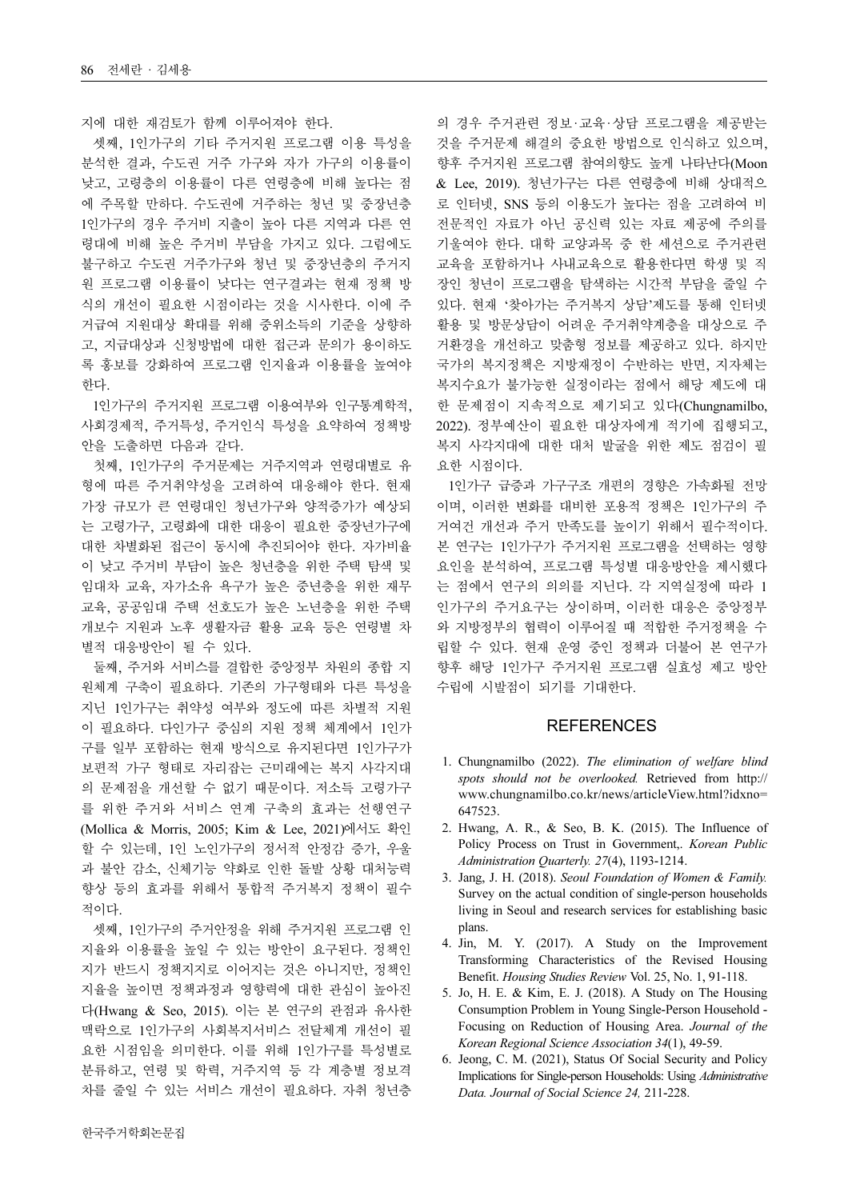지에 대한 재검토가 함께 이루어져야 한다.

셋째, 1인가구의 기타 주거지원 프로그램 이용 특성을 분석한 결과, 수도권 거주 가구와 자가 가구의 이용률이 낮고, 고령층의 이용률이 다른 연령층에 비해 높다는 점 에 주목할 만하다. 수도권에 거주하는 청년 및 중장년층 1인가구의 경우 주거비 지출이 높아 다른 지역과 다른 연 령대에 비해 높은 주거비 부담을 가지고 있다. 그럼에도 불구하고 수도권 거주가구와 청년 및 중장년층의 주거지 원 프로그램 이용률이 낮다는 연구결과는 현재 정책 방 식의 개선이 필요한 시점이라는 것을 시사한다. 이에 주 거급여 지원대상 확대를 위해 중위소득의 기준을 상향하 고, 지급대상과 신청방법에 대한 접근과 문의가 용이하도 록 홍보를 강화하여 프로그램 인지율과 이용률을 높여야 한다.

1인가구의 주거지원 프로그램 이용여부와 인구통계학적, 사회경제적, 주거특성, 주거인식 특성을 요약하여 정책방 안을 도출하면 다음과 같다.

첫째, 1인가구의 주거문제는 거주지역과 연령대별로 유 형에 따른 주거취약성을 고려하여 대응해야 한다. 현재 가장 규모가 큰 연령대인 청년가구와 양적증가가 예상되 는 고령가구, 고령화에 대한 대응이 필요한 중장년가구에 대한 차별화된 접근이 동시에 추진되어야 한다. 자가비율 이 낮고 주거비 부담이 높은 청년층을 위한 주택 탐색 및 임대차 교육, 자가소유 욕구가 높은 중년층을 위한 재무 교육, 공공임대 주택 선호도가 높은 노년층을 위한 주택 개보수 지원과 노후 생활자금 활용 교육 등은 연령별 차 별적 대응방안이 될 수 있다.

둘째, 주거와 서비스를 결합한 중앙정부 차원의 종합 지 원체계 구축이 필요하다. 기존의 가구형태와 다른 특성을 지닌 1인가구는 취약성 여부와 정도에 따른 차별적 지원 이 필요하다. 다인가구 중심의 지원 정책 체계에서 1인가 구를 일부 포함하는 현재 방식으로 유지된다면 1인가구가 보편적 가구 형태로 자리잡는 근미래에는 복지 사각지대 의 문제점을 개선할 수 없기 때문이다. 저소득 고령가구 를 위한 주거와 서비스 연계 구축의 효과는 선행연구 (Mollica & Morris, 2005; Kim & Lee, 2021)에서도 확인 할 수 있는데, 1인 노인가구의 정서적 안정감 증가, 우울 과 불안 감소, 신체기능 약화로 인한 돌발 상황 대처능력 향상 등의 효과를 위해서 통합적 주거복지 정책이 필수 적이다.

셋째, 1인가구의 주거안정을 위해 주거지원 프로그램 인 지율와 이용률을 높일 수 있는 방안이 요구된다. 정책인 지가 반드시 정책지지로 이어지는 것은 아니지만, 정책인 지율을 높이면 정책과정과 영향력에 대한 관심이 높아진 다(Hwang & Seo, 2015). 이는 본 연구의 관점과 유사한 맥락으로 1인가구의 사회복지서비스 전달체계 개선이 필 요한 시점임을 의미한다. 이를 위해 1인가구를 특성별로 분류하고, 연령 및 학력, 거주지역 등 각 계층별 정보격 차를 줄일 수 있는 서비스 개선이 필요하다. 자취 청년층

의 경우 주거관련 정보·교육·상담 프로그램을 제공받는 것을 주거문제 해결의 중요한 방법으로 인식하고 있으며, 향후 주거지원 프로그램 참여의향도 높게 나타난다(Moon & Lee, 2019). 청년가구는 다른 연령층에 비해 상대적으 로 인터넷, SNS 등의 이용도가 높다는 점을 고려하여 비 전문적인 자료가 아닌 공신력 있는 자료 제공에 주의를 기울여야 한다. 대학 교양과목 중 한 세션으로 주거관련 교육을 포함하거나 사내교육으로 활용한다면 학생 및 직 장인 청년이 프로그램을 탐색하는 시간적 부담을 줄일 수 있다. 현재 '찾아가는 주거복지 상담'제도를 통해 인터넷 활용 및 방문상담이 어려운 주거취약계층을 대상으로 주 거환경을 개선하고 맞춤형 정보를 제공하고 있다. 하지만 국가의 복지정책은 지방재정이 수반하는 반면, 지자체는 복지수요가 불가능한 실정이라는 점에서 해당 제도에 대 한 문제점이 지속적으로 제기되고 있다(Chungnamilbo, 2022). 정부예산이 필요한 대상자에게 적기에 집행되고, 복지 사각지대에 대한 대처 발굴을 위한 제도 점검이 필 요한 시점이다.

1인가구 급증과 가구구조 개편의 경향은 가속화될 전망 이며, 이러한 변화를 대비한 포용적 정책은 1인가구의 주 거여건 개선과 주거 만족도를 높이기 위해서 필수적이다. 본 연구는 1인가구가 주거지원 프로그램을 선택하는 영향 요인을 분석하여, 프로그램 특성별 대응방안을 제시했다 는 점에서 연구의 의의를 지닌다. 각 지역실정에 따라 1 인가구의 주거요구는 상이하며, 이러한 대응은 중앙정부 와 지방정부의 협력이 이루어질 때 적합한 주거정책을 수 립할 수 있다. 현재 운영 중인 정책과 더불어 본 연구가 향후 해당 1인가구 주거지원 프로그램 실효성 제고 방안 수립에 시발점이 되기를 기대한다.

#### **REFERENCES**

- 1. Chungnamilbo (2022). The elimination of welfare blind spots should not be overlooked. Retrieved from http:// www.chungnamilbo.co.kr/news/articleView.html?idxno= 647523.
- 2. Hwang, A. R., & Seo, B. K. (2015). The Influence of Policy Process on Trust in Government,. Korean Public Administration Quarterly. 27(4), 1193-1214.
- 3. Jang, J. H. (2018). Seoul Foundation of Women & Family. Survey on the actual condition of single-person households living in Seoul and research services for establishing basic plans.
- 4. Jin, M. Y. (2017). A Study on the Improvement Transforming Characteristics of the Revised Housing Benefit. Housing Studies Review Vol. 25, No. 1, 91-118.
- 5. Jo, H. E. & Kim, E. J. (2018). A Study on The Housing Consumption Problem in Young Single-Person Household - Focusing on Reduction of Housing Area. Journal of the Korean Regional Science Association 34(1), 49-59.
- 6. Jeong, C. M. (2021), Status Of Social Security and Policy Implications for Single-person Households: Using Administrative Data. Journal of Social Science 24, 211-228.